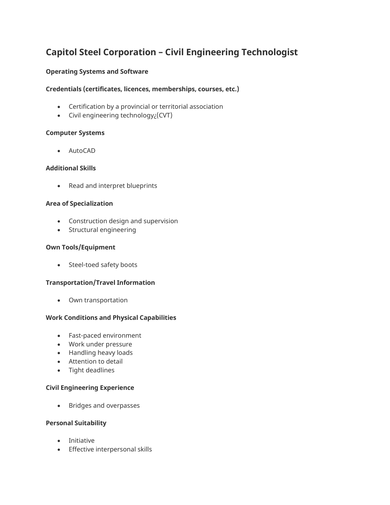# **Capitol Steel Corporation – Civil Engineering Technologist**

## **Operating Systems and Software**

## **Credentials (certificates, licences, memberships, courses, etc.)**

- Certification by a provincial or territorial association
- Civil engineering technology¿(CVT)

## **Computer Systems**

• AutoCAD

## **Additional Skills**

• Read and interpret blueprints

## **Area of Specialization**

- Construction design and supervision
- Structural engineering

## **Own Tools/Equipment**

• Steel-toed safety boots

## **Transportation/Travel Information**

• Own transportation

## **Work Conditions and Physical Capabilities**

- Fast-paced environment
- Work under pressure
- Handling heavy loads
- Attention to detail
- Tight deadlines

## **Civil Engineering Experience**

• Bridges and overpasses

#### **Personal Suitability**

- Initiative
- Effective interpersonal skills